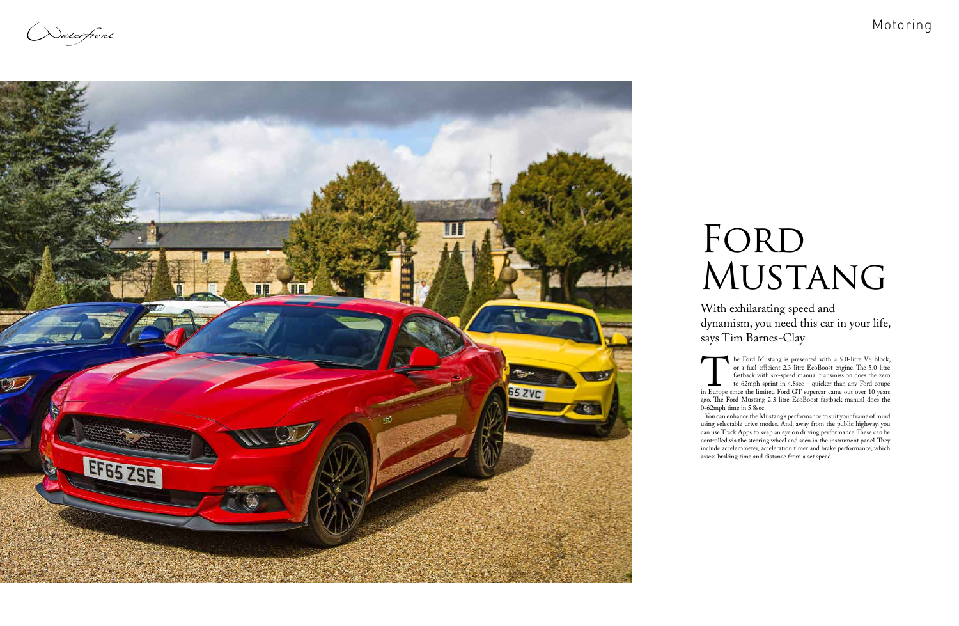Naterfront



## FORD MUSTANG

The Ford Mustang is presented with a 5.0-litre V8 block,<br>or a fuel-efficient 2.3-litre EcoBoost engine. The 5.0-litre<br>fastback with six-speed manual transmission does the zero<br>to 62mph sprint in 4.8sec – quicker than any F or a fuel-efficient 2.3-litre EcoBoost engine. The 5.0-litre fastback with six-speed manual transmission does the zero to 62mph sprint in 4.8sec – quicker than any Ford coupé in Europe since the limited Ford GT supercar came out over 10 years ago. The Ford Mustang 2.3-litre EcoBoost fastback manual does the 0-62mph time in 5.8sec.

You can enhance the Mustang's performance to suit your frame of mind using selectable drive modes. And, away from the public highway, you can use Track Apps to keep an eye on driving performance. These can be controlled via the steering wheel and seen in the instrument panel. They include accelerometer, acceleration timer and brake performance, which assess braking time and distance from a set speed.

With exhilarating speed and dynamism, you need this car in your life, says Tim Barnes-Clay